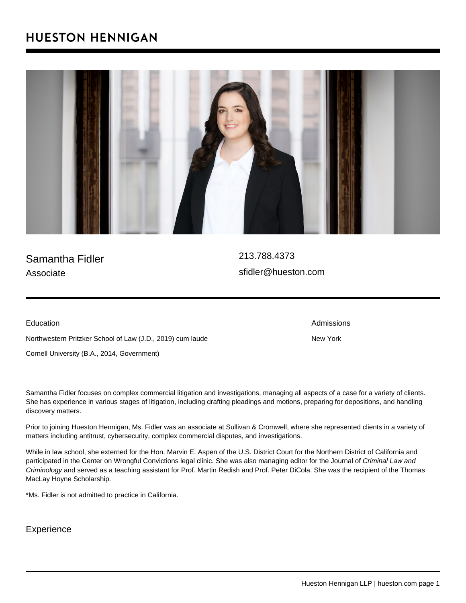## Samantha Fidler Associate

[213.788.4373](�� / n a s / c o n t e n t / l i v e / h u e s t o n / t e l : 2 1 3 . 7 8 8 . 4 3 7 3) [sfidler@hueston.com](�� m a i l t o : s f i d l e r @ h u e s t o n . c o m)

Education

Northwestern Pritzker School of Law (J.D., 2019) cum laude Cornell University (B.A., 2014, Government)

Samantha Fidler focuses on complex commercial litigation and investigations, managing all aspects of a case for a variety of clients. She has experience in various stages of litigation, including drafting pleadings and motions, preparing for depositions, and handling discovery matters.

Prior to joining Hueston Hennigan, Ms. Fidler was an associate at Sullivan & Cromwell, where she represented clients in a variety of matters including antitrust, cybersecurity, complex commercial disputes, and investigations.

While in law school, she externed for the Hon. Marvin E. Aspen of the U.S. District Court for the Northern District of California and participated in the Center on Wrongful Convictions legal clinic. She was also managing editor for the Journal of Criminal Law and Criminology and served as a teaching assistant for Prof. Martin Redish and Prof. Peter DiCola. She was the recipient of the Thomas MacLay Hoyne Scholarship.

\*Ms. Fidler is not admitted to practice in California.

Experience

Hueston Hennigan LLP | hueston.com page 1

Admissions

New York